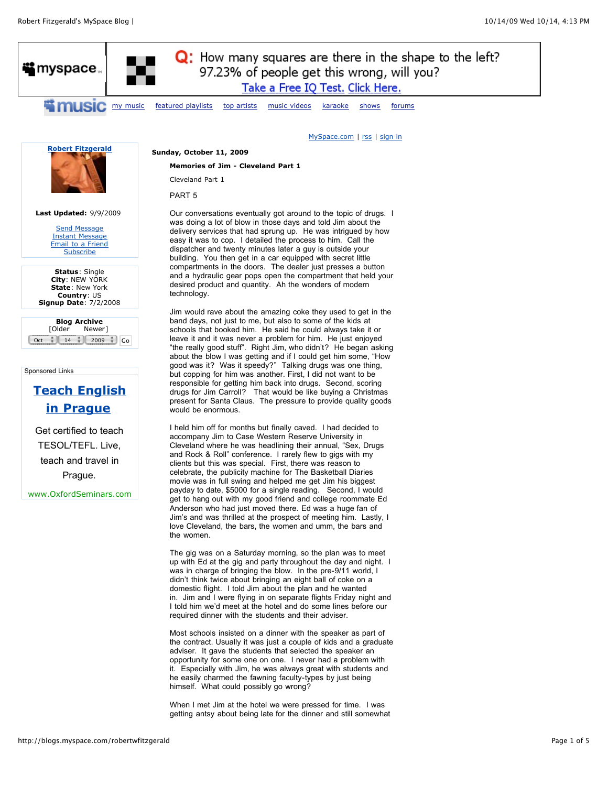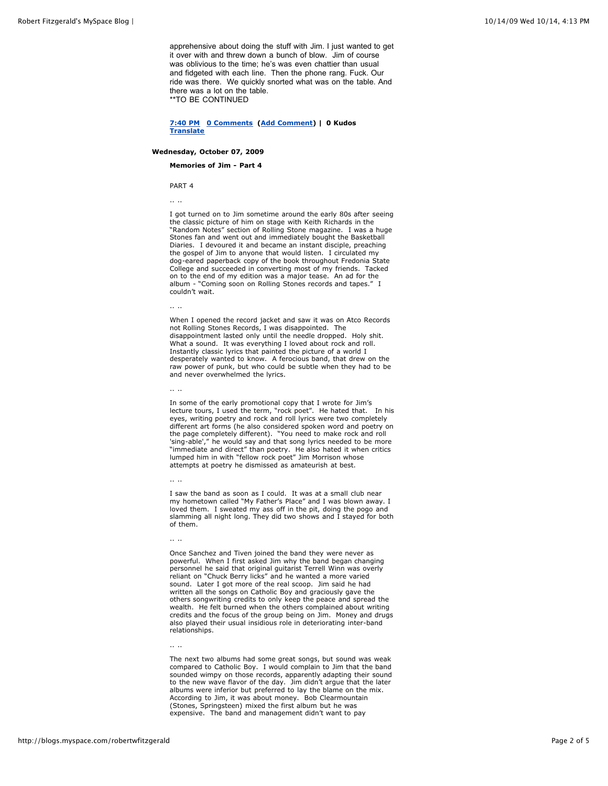apprehensive about doing the stuff with Jim. I just wanted to get it over with and threw down a bunch of blow. Jim of course was oblivious to the time; he's was even chattier than usual and fidgeted with each line. Then the phone rang. Fuck. Our ride was there. We quickly snorted what was on the table. And there was a lot on the table. \*\*TO BE CONTINUED

**[7:40 PM](http://blogs.myspace.com/index.cfm?fuseaction=blog.view&friendId=393760502&blogId=513926329) [0 Comments](http://blogs.myspace.com/index.cfm?fuseaction=blog.view&friendId=393760502&blogId=513926329) ([Add Comment](http://blogs.myspace.com/robertwfitzgerald#)) | 0 Kudos [Translate](javascript:showLanguageOptions(513926329);)**

### **Wednesday, October 07, 2009**

**Memories of Jim - Part 4**

PART 4

.. ..

I got turned on to Jim sometime around the early 80s after seeing the classic picture of him on stage with Keith Richards in the "Random Notes" section of Rolling Stone magazine. I was a huge Stones fan and went out and immediately bought the Basketball Diaries. I devoured it and became an instant disciple, preaching the gospel of Jim to anyone that would listen. I circulated my dog-eared paperback copy of the book throughout Fredonia State College and succeeded in converting most of my friends. Tacked on to the end of my edition was a major tease. An ad for the album - "Coming soon on Rolling Stones records and tapes." I couldn't wait.

.. ..

When I opened the record jacket and saw it was on Atco Records not Rolling Stones Records, I was disappointed. The disappointment lasted only until the needle dropped. Holy shit. What a sound. It was everything I loved about rock and roll. Instantly classic lyrics that painted the picture of a world I desperately wanted to know. A ferocious band, that drew on the raw power of punk, but who could be subtle when they had to be and never overwhelmed the lyrics.

.. ..

In some of the early promotional copy that I wrote for Jim's lecture tours, I used the term, "rock poet". He hated that. In his eyes, writing poetry and rock and roll lyrics were two completely different art forms (he also considered spoken word and poetry on the page completely different). "You need to make rock and roll 'sing-able'," he would say and that song lyrics needed to be more "immediate and direct" than poetry. He also hated it when critics lumped him in with "fellow rock poet" Jim Morrison whose attempts at poetry he dismissed as amateurish at best.

.. ..

I saw the band as soon as I could. It was at a small club near my hometown called "My Father's Place" and I was blown away. I loved them. I sweated my ass off in the pit, doing the pogo and slamming all night long. They did two shows and I stayed for both of them.

.. ..

Once Sanchez and Tiven joined the band they were never as powerful. When I first asked Jim why the band began changing personnel he said that original guitarist Terrell Winn was overly reliant on "Chuck Berry licks" and he wanted a more varied sound. Later I got more of the real scoop. Jim said he had written all the songs on Catholic Boy and graciously gave the others songwriting credits to only keep the peace and spread the wealth. He felt burned when the others complained about writing credits and the focus of the group being on Jim. Money and drugs also played their usual insidious role in deteriorating inter-band relationships.

.. ..

The next two albums had some great songs, but sound was weak compared to Catholic Boy. I would complain to Jim that the band sounded wimpy on those records, apparently adapting their sound to the new wave flavor of the day. Jim didn't argue that the later albums were inferior but preferred to lay the blame on the mix. According to Jim, it was about money. Bob Clearmountain (Stones, Springsteen) mixed the first album but he was expensive. The band and management didn't want to pay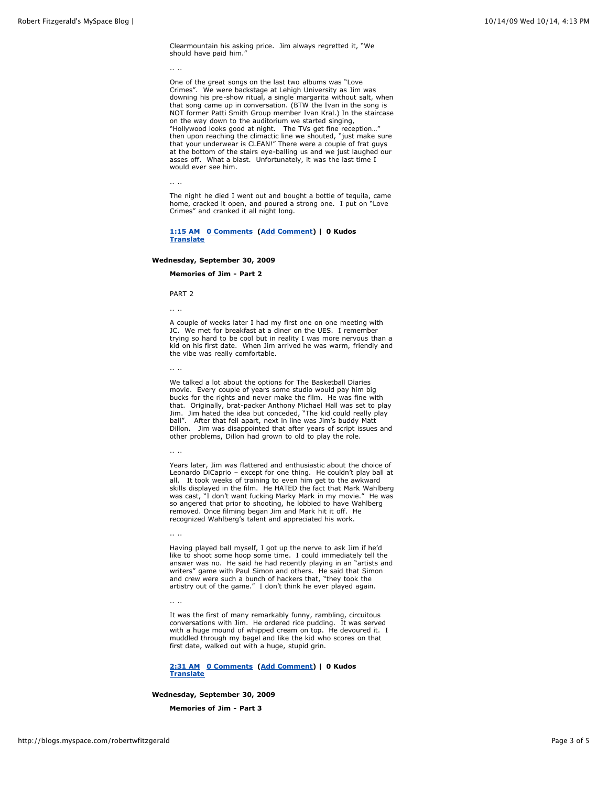Clearmountain his asking price. Jim always regretted it, "We should have paid him."

.. ..

One of the great songs on the last two albums was "Love Crimes". We were backstage at Lehigh University as Jim was downing his pre-show ritual, a single margarita without salt, when that song came up in conversation. (BTW the Ivan in the song is NOT former Patti Smith Group member Ivan Kral.) In the staircase on the way down to the auditorium we started singing, "Hollywood looks good at night. The TVs get fine reception…" then upon reaching the climactic line we shouted, "just make sure that your underwear is CLEAN!" There were a couple of frat guys at the bottom of the stairs eye-balling us and we just laughed our asses off. What a blast. Unfortunately, it was the last time I would ever see him.

.. ..

The night he died I went out and bought a bottle of tequila, came home, cracked it open, and poured a strong one. I put on "Love Crimes" and cranked it all night long.

### **[1:15 AM](http://blogs.myspace.com/index.cfm?fuseaction=blog.view&friendId=393760502&blogId=513291342) [0 Comments](http://blogs.myspace.com/index.cfm?fuseaction=blog.view&friendId=393760502&blogId=513291342) ([Add Comment](http://blogs.myspace.com/robertwfitzgerald#)) | 0 Kudos [Translate](javascript:showLanguageOptions(513291342);)**

### **Wednesday, September 30, 2009**

#### **Memories of Jim - Part 2**

PART 2

.. ..

A couple of weeks later I had my first one on one meeting with JC. We met for breakfast at a diner on the UES. I remember trying so hard to be cool but in reality I was more nervous than a kid on his first date. When Jim arrived he was warm, friendly and the vibe was really comfortable.

.. ..

We talked a lot about the options for The Basketball Diaries movie. Every couple of years some studio would pay him big bucks for the rights and never make the film. He was fine with that. Originally, brat-packer Anthony Michael Hall was set to play Jim. Jim hated the idea but conceded, "The kid could really play ball". After that fell apart, next in line was Jim's buddy Matt Dillon. Jim was disappointed that after years of script issues and other problems, Dillon had grown to old to play the role.

.. ..

Years later, Jim was flattered and enthusiastic about the choice of Leonardo DiCaprio – except for one thing. He couldn't play ball at all. It took weeks of training to even him get to the awkward skills displayed in the film. He HATED the fact that Mark Wahlberg was cast, "I don't want fucking Marky Mark in my movie." He was so angered that prior to shooting, he lobbied to have Wahlberg removed. Once filming began Jim and Mark hit it off. He recognized Wahlberg's talent and appreciated his work.

.. ..

Having played ball myself, I got up the nerve to ask Jim if he'd like to shoot some hoop some time. I could immediately tell the answer was no. He said he had recently playing in an "artists and writers" game with Paul Simon and others. He said that Simon and crew were such a bunch of hackers that, "they took the artistry out of the game." I don't think he ever played again.

.. ..

It was the first of many remarkably funny, rambling, circuitous conversations with Jim. He ordered rice pudding. It was served with a huge mound of whipped cream on top. He devoured it. I muddled through my bagel and like the kid who scores on that first date, walked out with a huge, stupid grin.

**[2:31 AM](http://blogs.myspace.com/index.cfm?fuseaction=blog.view&friendId=393760502&blogId=512346602) [0 Comments](http://blogs.myspace.com/index.cfm?fuseaction=blog.view&friendId=393760502&blogId=512346602) ([Add Comment](http://blogs.myspace.com/robertwfitzgerald#)) | 0 Kudos [Translate](javascript:showLanguageOptions(512346602);)**

**Wednesday, September 30, 2009** 

**Memories of Jim - Part 3**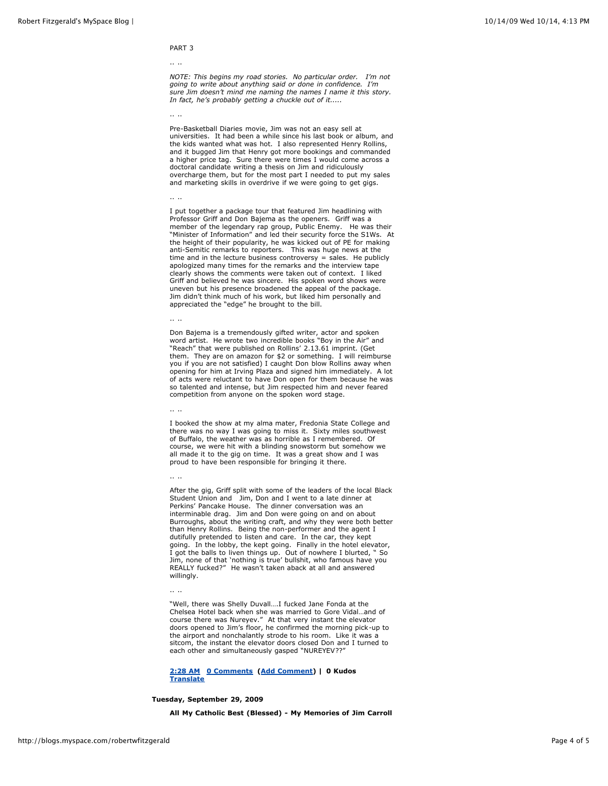## PART 3

#### .. ..

*NOTE: This begins my road stories. No particular order. I'm not going to write about anything said or done in confidence. I'm sure Jim doesn't mind me naming the names I name it this story. In fact, he's probably getting a chuckle out of it.....*

.. ..

Pre-Basketball Diaries movie, Jim was not an easy sell at universities. It had been a while since his last book or album, and the kids wanted what was hot. I also represented Henry Rollins, and it bugged Jim that Henry got more bookings and commanded a higher price tag. Sure there were times I would come across a doctoral candidate writing a thesis on Jim and ridiculously overcharge them, but for the most part I needed to put my sales and marketing skills in overdrive if we were going to get gigs.

#### .. ..

I put together a package tour that featured Jim headlining with Professor Griff and Don Bajema as the openers. Griff was a member of the legendary rap group, Public Enemy. He was their "Minister of Information" and led their security force the S1Ws. At the height of their popularity, he was kicked out of PE for making anti-Semitic remarks to reporters. This was huge news at the time and in the lecture business controversy = sales. He publicly apologized many times for the remarks and the interview tape clearly shows the comments were taken out of context. I liked Griff and believed he was sincere. His spoken word shows were uneven but his presence broadened the appeal of the package. Jim didn't think much of his work, but liked him personally and appreciated the "edge" he brought to the bill.

### .. ..

Don Bajema is a tremendously gifted writer, actor and spoken word artist. He wrote two incredible books "Boy in the Air" and "Reach" that were published on Rollins' 2.13.61 imprint. (Get them. They are on amazon for \$2 or something. I will reimburse you if you are not satisfied) I caught Don blow Rollins away when opening for him at Irving Plaza and signed him immediately. A lot of acts were reluctant to have Don open for them because he was so talented and intense, but Jim respected him and never feared competition from anyone on the spoken word stage.

.. ..

.. ..

I booked the show at my alma mater, Fredonia State College and there was no way I was going to miss it. Sixty miles southwest of Buffalo, the weather was as horrible as I remembered. Of course, we were hit with a blinding snowstorm but somehow we all made it to the gig on time. It was a great show and I was proud to have been responsible for bringing it there.

After the gig, Griff split with some of the leaders of the local Black Student Union and Jim, Don and I went to a late dinner at Perkins' Pancake House. The dinner conversation was an interminable drag. Jim and Don were going on and on about Burroughs, about the writing craft, and why they were both better than Henry Rollins. Being the non-performer and the agent I dutifully pretended to listen and care. In the car, they kept going. In the lobby, the kept going. Finally in the hotel elevator, I got the balls to liven things up. Out of nowhere I blurted, " So Jim, none of that 'nothing is true' bullshit, who famous have you REALLY fucked?" He wasn't taken aback at all and answered willingly.

.. ..

"Well, there was Shelly Duvall….I fucked Jane Fonda at the Chelsea Hotel back when she was married to Gore Vidal…and of course there was Nureyev." At that very instant the elevator doors opened to Jim's floor, he confirmed the morning pick-up to the airport and nonchalantly strode to his room. Like it was a sitcom, the instant the elevator doors closed Don and I turned to each other and simultaneously gasped "NUREYEV??"

**[2:28 AM](http://blogs.myspace.com/index.cfm?fuseaction=blog.view&friendId=393760502&blogId=512346522) [0 Comments](http://blogs.myspace.com/index.cfm?fuseaction=blog.view&friendId=393760502&blogId=512346522) ([Add Comment](http://blogs.myspace.com/robertwfitzgerald#)) | 0 Kudos [Translate](javascript:showLanguageOptions(512346522);)**

### **Tuesday, September 29, 2009**

**All My Catholic Best (Blessed) - My Memories of Jim Carroll**